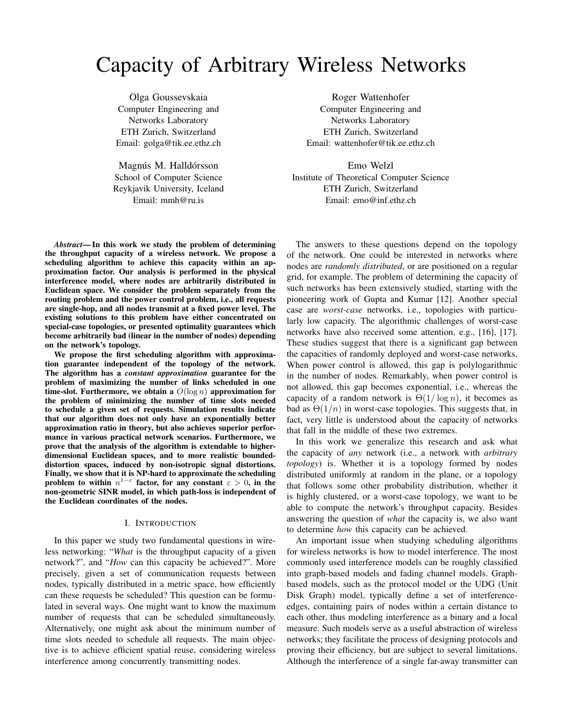# Capacity of Arbitrary Wireless Networks

Olga Goussevskaia Computer Engineering and Networks Laboratory ETH Zurich, Switzerland Email: golga@tik.ee.ethz.ch

Magnús M. Halldórsson School of Computer Science Reykjavik University, Iceland Email: mmh@ru.is

*Abstract*— In this work we study the problem of determining the throughput capacity of a wireless network. We propose a scheduling algorithm to achieve this capacity within an approximation factor. Our analysis is performed in the physical interference model, where nodes are arbitrarily distributed in Euclidean space. We consider the problem separately from the routing problem and the power control problem, i.e., all requests are single-hop, and all nodes transmit at a fixed power level. The existing solutions to this problem have either concentrated on special-case topologies, or presented optimality guarantees which become arbitrarily bad (linear in the number of nodes) depending on the network's topology.

We propose the first scheduling algorithm with approximation guarantee independent of the topology of the network. The algorithm has a *constant approximation* guarantee for the problem of maximizing the number of links scheduled in one time-slot. Furthermore, we obtain a  $O(\log n)$  approximation for the problem of minimizing the number of time slots needed to schedule a given set of requests. Simulation results indicate that our algorithm does not only have an exponentially better approximation ratio in theory, but also achieves superior performance in various practical network scenarios. Furthermore, we prove that the analysis of the algorithm is extendable to higherdimensional Euclidean spaces, and to more realistic boundeddistortion spaces, induced by non-isotropic signal distortions. Finally, we show that it is NP-hard to approximate the scheduling problem to within  $n^{1-\epsilon}$  factor, for any constant  $\varepsilon > 0$ , in the non-geometric SINR model, in which path-loss is independent of the Euclidean coordinates of the nodes.

#### I. INTRODUCTION

In this paper we study two fundamental questions in wireless networking: "*What* is the throughput capacity of a given network?", and "*How* can this capacity be achieved?". More precisely, given a set of communication requests between nodes, typically distributed in a metric space, how efficiently can these requests be scheduled? This question can be formulated in several ways. One might want to know the maximum number of requests that can be scheduled simultaneously. Alternatively, one might ask about the minimum number of time slots needed to schedule all requests. The main objective is to achieve efficient spatial reuse, considering wireless interference among concurrently transmitting nodes.

Roger Wattenhofer Computer Engineering and Networks Laboratory ETH Zurich, Switzerland Email: wattenhofer@tik.ee.ethz.ch

Emo Welzl Institute of Theoretical Computer Science ETH Zurich, Switzerland Email: emo@inf.ethz.ch

The answers to these questions depend on the topology of the network. One could be interested in networks where nodes are *randomly distributed*, or are positioned on a regular grid, for example. The problem of determining the capacity of such networks has been extensively studied, starting with the pioneering work of Gupta and Kumar [12]. Another special case are *worst-case* networks, i.e., topologies with particularly low capacity. The algorithmic challenges of worst-case networks have also received some attention, e.g., [16], [17]. These studies suggest that there is a significant gap between the capacities of randomly deployed and worst-case networks. When power control is allowed, this gap is polylogarithmic in the number of nodes. Remarkably, when power control is not allowed, this gap becomes exponential, i.e., whereas the capacity of a random network is  $\Theta(1/\log n)$ , it becomes as bad as  $\Theta(1/n)$  in worst-case topologies. This suggests that, in fact, very little is understood about the capacity of networks that fall in the middle of these two extremes.

In this work we generalize this research and ask what the capacity of *any* network (i.e., a network with *arbitrary topology*) is. Whether it is a topology formed by nodes distributed uniformly at random in the plane, or a topology that follows some other probability distribution, whether it is highly clustered, or a worst-case topology, we want to be able to compute the network's throughput capacity. Besides answering the question of *what* the capacity is, we also want to determine *how* this capacity can be achieved.

An important issue when studying scheduling algorithms for wireless networks is how to model interference. The most commonly used interference models can be roughly classified into graph-based models and fading channel models. Graphbased models, such as the protocol model or the UDG (Unit Disk Graph) model, typically define a set of interferenceedges, containing pairs of nodes within a certain distance to each other, thus modeling interference as a binary and a local measure. Such models serve as a useful abstraction of wireless networks; they facilitate the process of designing protocols and proving their efficiency, but are subject to several limitations. Although the interference of a single far-away transmitter can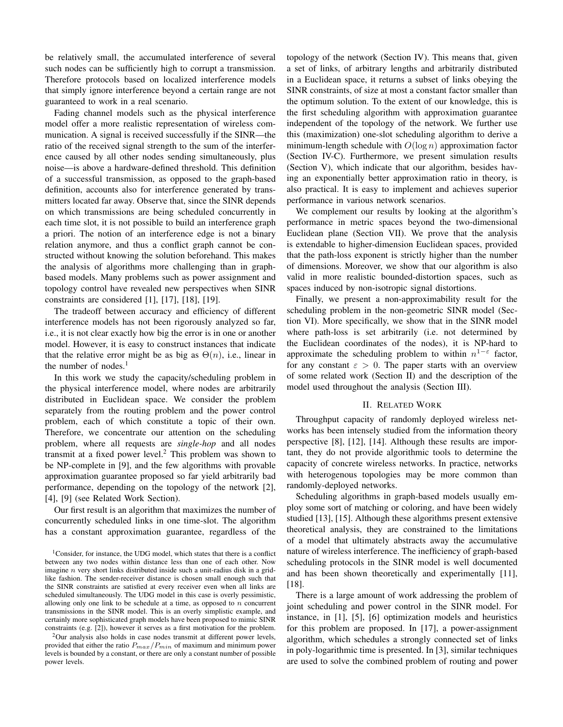be relatively small, the accumulated interference of several such nodes can be sufficiently high to corrupt a transmission. Therefore protocols based on localized interference models that simply ignore interference beyond a certain range are not guaranteed to work in a real scenario.

Fading channel models such as the physical interference model offer a more realistic representation of wireless communication. A signal is received successfully if the SINR—the ratio of the received signal strength to the sum of the interference caused by all other nodes sending simultaneously, plus noise—is above a hardware-defined threshold. This definition of a successful transmission, as opposed to the graph-based definition, accounts also for interference generated by transmitters located far away. Observe that, since the SINR depends on which transmissions are being scheduled concurrently in each time slot, it is not possible to build an interference graph a priori. The notion of an interference edge is not a binary relation anymore, and thus a conflict graph cannot be constructed without knowing the solution beforehand. This makes the analysis of algorithms more challenging than in graphbased models. Many problems such as power assignment and topology control have revealed new perspectives when SINR constraints are considered [1], [17], [18], [19].

The tradeoff between accuracy and efficiency of different interference models has not been rigorously analyzed so far, i.e., it is not clear exactly how big the error is in one or another model. However, it is easy to construct instances that indicate that the relative error might be as big as  $\Theta(n)$ , i.e., linear in the number of nodes. $<sup>1</sup>$ </sup>

In this work we study the capacity/scheduling problem in the physical interference model, where nodes are arbitrarily distributed in Euclidean space. We consider the problem separately from the routing problem and the power control problem, each of which constitute a topic of their own. Therefore, we concentrate our attention on the scheduling problem, where all requests are *single-hop* and all nodes transmit at a fixed power level. $<sup>2</sup>$  This problem was shown to</sup> be NP-complete in [9], and the few algorithms with provable approximation guarantee proposed so far yield arbitrarily bad performance, depending on the topology of the network [2], [4], [9] (see Related Work Section).

Our first result is an algorithm that maximizes the number of concurrently scheduled links in one time-slot. The algorithm has a constant approximation guarantee, regardless of the

 $2$ Our analysis also holds in case nodes transmit at different power levels, provided that either the ratio  $P_{max}/P_{min}$  of maximum and minimum power levels is bounded by a constant, or there are only a constant number of possible power levels.

topology of the network (Section IV). This means that, given a set of links, of arbitrary lengths and arbitrarily distributed in a Euclidean space, it returns a subset of links obeying the SINR constraints, of size at most a constant factor smaller than the optimum solution. To the extent of our knowledge, this is the first scheduling algorithm with approximation guarantee independent of the topology of the network. We further use this (maximization) one-slot scheduling algorithm to derive a minimum-length schedule with  $O(\log n)$  approximation factor (Section IV-C). Furthermore, we present simulation results (Section V), which indicate that our algorithm, besides having an exponentially better approximation ratio in theory, is also practical. It is easy to implement and achieves superior performance in various network scenarios.

We complement our results by looking at the algorithm's performance in metric spaces beyond the two-dimensional Euclidean plane (Section VII). We prove that the analysis is extendable to higher-dimension Euclidean spaces, provided that the path-loss exponent is strictly higher than the number of dimensions. Moreover, we show that our algorithm is also valid in more realistic bounded-distortion spaces, such as spaces induced by non-isotropic signal distortions.

Finally, we present a non-approximability result for the scheduling problem in the non-geometric SINR model (Section VI). More specifically, we show that in the SINR model where path-loss is set arbitrarily (i.e. not determined by the Euclidean coordinates of the nodes), it is NP-hard to approximate the scheduling problem to within  $n^{1-\epsilon}$  factor, for any constant  $\varepsilon > 0$ . The paper starts with an overview of some related work (Section II) and the description of the model used throughout the analysis (Section III).

## II. RELATED WORK

Throughput capacity of randomly deployed wireless networks has been intensely studied from the information theory perspective [8], [12], [14]. Although these results are important, they do not provide algorithmic tools to determine the capacity of concrete wireless networks. In practice, networks with heterogenous topologies may be more common than randomly-deployed networks.

Scheduling algorithms in graph-based models usually employ some sort of matching or coloring, and have been widely studied [13], [15]. Although these algorithms present extensive theoretical analysis, they are constrained to the limitations of a model that ultimately abstracts away the accumulative nature of wireless interference. The inefficiency of graph-based scheduling protocols in the SINR model is well documented and has been shown theoretically and experimentally [11], [18].

There is a large amount of work addressing the problem of joint scheduling and power control in the SINR model. For instance, in [1], [5], [6] optimization models and heuristics for this problem are proposed. In [17], a power-assignment algorithm, which schedules a strongly connected set of links in poly-logarithmic time is presented. In [3], similar techniques are used to solve the combined problem of routing and power

<sup>&</sup>lt;sup>1</sup>Consider, for instance, the UDG model, which states that there is a conflict between any two nodes within distance less than one of each other. Now imagine *n* very short links distributed inside such a unit-radius disk in a gridlike fashion. The sender-receiver distance is chosen small enough such that the SINR constraints are satisfied at every receiver even when all links are scheduled simultaneously. The UDG model in this case is overly pessimistic, allowing only one link to be schedule at a time, as opposed to  $n$  concurrent transmissions in the SINR model. This is an overly simplistic example, and certainly more sophisticated graph models have been proposed to mimic SINR constraints (e.g. [2]), however it serves as a first motivation for the problem.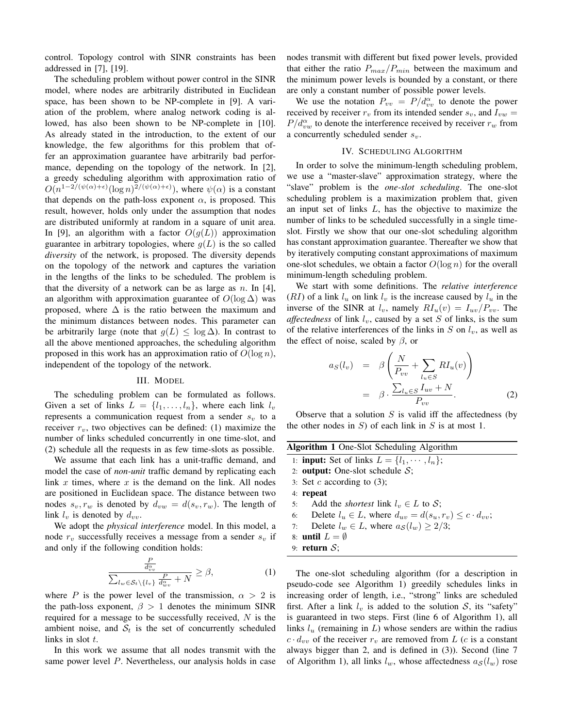control. Topology control with SINR constraints has been addressed in [7], [19].

The scheduling problem without power control in the SINR model, where nodes are arbitrarily distributed in Euclidean space, has been shown to be NP-complete in [9]. A variation of the problem, where analog network coding is allowed, has also been shown to be NP-complete in [10]. As already stated in the introduction, to the extent of our knowledge, the few algorithms for this problem that offer an approximation guarantee have arbitrarily bad performance, depending on the topology of the network. In [2], a greedy scheduling algorithm with approximation ratio of  $O(n^{1-2/(\psi(\alpha)+\epsilon)}(\log n)^{2/(\psi(\alpha)+\epsilon)})$ , where  $\psi(\alpha)$  is a constant that depends on the path-loss exponent  $\alpha$ , is proposed. This result, however, holds only under the assumption that nodes are distributed uniformly at random in a square of unit area. In [9], an algorithm with a factor  $O(q(L))$  approximation guarantee in arbitrary topologies, where  $q(L)$  is the so called *diversity* of the network, is proposed. The diversity depends on the topology of the network and captures the variation in the lengths of the links to be scheduled. The problem is that the diversity of a network can be as large as  $n$ . In [4], an algorithm with approximation guarantee of  $O(\log \Delta)$  was proposed, where  $\Delta$  is the ratio between the maximum and the minimum distances between nodes. This parameter can be arbitrarily large (note that  $q(L) < \log \Delta$ ). In contrast to all the above mentioned approaches, the scheduling algorithm proposed in this work has an approximation ratio of  $O(\log n)$ , independent of the topology of the network.

#### III. MODEL

The scheduling problem can be formulated as follows. Given a set of links  $L = \{l_1, \ldots, l_n\}$ , where each link  $l_v$ represents a communication request from a sender  $s<sub>v</sub>$  to a receiver  $r_v$ , two objectives can be defined: (1) maximize the number of links scheduled concurrently in one time-slot, and (2) schedule all the requests in as few time-slots as possible.

We assume that each link has a unit-traffic demand, and model the case of *non-unit* traffic demand by replicating each link x times, where x is the demand on the link. All nodes are positioned in Euclidean space. The distance between two nodes  $s_v, r_w$  is denoted by  $d_{vw} = d(s_v, r_w)$ . The length of link  $l_v$  is denoted by  $d_{vv}$ .

We adopt the *physical interference* model. In this model, a node  $r_v$  successfully receives a message from a sender  $s_v$  if and only if the following condition holds:

$$
\frac{\frac{P}{d_{vv}^{\alpha}}}{\sum_{l_w \in S_t \setminus \{l_v\}} \frac{P}{d_{uv}^{\alpha}} + N} \ge \beta,
$$
\n(1)

where P is the power level of the transmission,  $\alpha > 2$  is the path-loss exponent,  $\beta > 1$  denotes the minimum SINR required for a message to be successfully received, N is the ambient noise, and  $S_t$  is the set of concurrently scheduled links in slot  $t$ .

In this work we assume that all nodes transmit with the same power level P. Nevertheless, our analysis holds in case nodes transmit with different but fixed power levels, provided that either the ratio  $P_{max}/P_{min}$  between the maximum and the minimum power levels is bounded by a constant, or there are only a constant number of possible power levels.

We use the notation  $P_{vv} = P/d_{vv}^{\alpha}$  to denote the power received by receiver  $r_v$  from its intended sender  $s_v$ , and  $I_{vw} =$  $P/d_{vw}^{\alpha}$  to denote the interference received by receiver  $r_w$  from a concurrently scheduled sender  $s_v$ .

## IV. SCHEDULING ALGORITHM

In order to solve the minimum-length scheduling problem, we use a "master-slave" approximation strategy, where the "slave" problem is the *one-slot scheduling*. The one-slot scheduling problem is a maximization problem that, given an input set of links L, has the objective to maximize the number of links to be scheduled successfully in a single timeslot. Firstly we show that our one-slot scheduling algorithm has constant approximation guarantee. Thereafter we show that by iteratively computing constant approximations of maximum one-slot schedules, we obtain a factor  $O(\log n)$  for the overall minimum-length scheduling problem.

We start with some definitions. The *relative interference*  $(RI)$  of a link  $l_u$  on link  $l_v$  is the increase caused by  $l_u$  in the inverse of the SINR at  $l_v$ , namely  $RI_u(v) = I_{uv}/P_{vv}$ . The *affectedness* of link  $l_v$ , caused by a set S of links, is the sum of the relative interferences of the links in  $S$  on  $l_v$ , as well as the effect of noise, scaled by  $\beta$ , or

$$
a_S(l_v) = \beta \left( \frac{N}{P_{vv}} + \sum_{l_u \in S} R I_u(v) \right)
$$

$$
= \beta \cdot \frac{\sum_{l_u \in S} I_{uv} + N}{P_{vv}}.
$$
(2)

Observe that a solution  $S$  is valid iff the affectedness (by the other nodes in  $S$ ) of each link in  $S$  is at most 1.

| <b>Algorithm 1</b> One-Slot Scheduling Algorithm                           |
|----------------------------------------------------------------------------|
| 1: <b>input:</b> Set of links $L = \{l_1, \dots, l_n\};$                   |
| 2: <b>output:</b> One-slot schedule $S$ ;                                  |
| 3: Set c according to $(3)$ ;                                              |
| 4: repeat                                                                  |
| 5: Add the <i>shortest</i> link $l_n \in L$ to S;                          |
| 6: Delete $l_u \in L$ , where $d_{uv} = d(s_u, r_v) \leq c \cdot d_{vv}$ ; |
| 7: Delete $l_w \in L$ , where $a_{\mathcal{S}}(l_w) \geq 2/3$ ;            |
| 8: until $L = \emptyset$                                                   |
| 9: return $S$ :                                                            |
|                                                                            |

The one-slot scheduling algorithm (for a description in pseudo-code see Algorithm 1) greedily schedules links in increasing order of length, i.e., "strong" links are scheduled first. After a link  $l_v$  is added to the solution S, its "safety" is guaranteed in two steps. First (line 6 of Algorithm 1), all links  $l_u$  (remaining in L) whose senders are within the radius  $c \cdot d_{vv}$  of the receiver  $r_v$  are removed from L (c is a constant always bigger than 2, and is defined in (3)). Second (line 7 of Algorithm 1), all links  $l_w$ , whose affectedness  $a_S(l_w)$  rose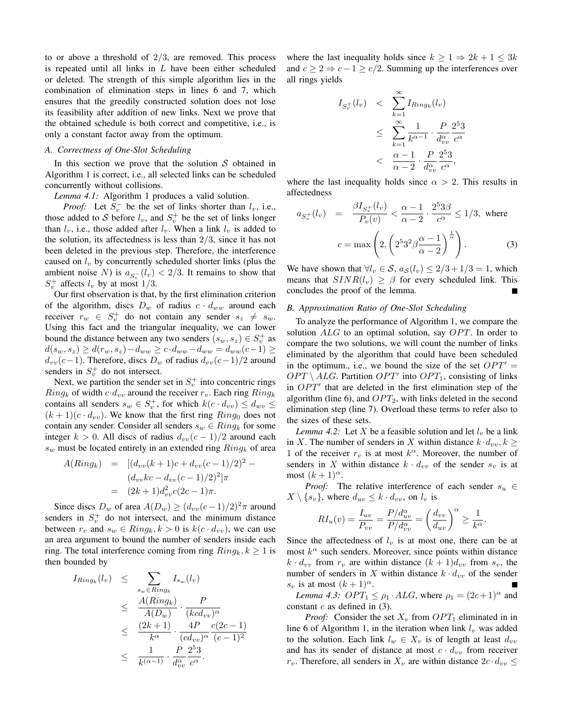to or above a threshold of  $2/3$ , are removed. This process is repeated until all links in  $L$  have been either scheduled or deleted. The strength of this simple algorithm lies in the combination of elimination steps in lines 6 and 7, which ensures that the greedily constructed solution does not lose its feasibility after addition of new links. Next we prove that the obtained schedule is both correct and competitive, i.e., is only a constant factor away from the optimum.

## *A. Correctness of One-Slot Scheduling*

In this section we prove that the solution  $S$  obtained in Algorithm 1 is correct, i.e., all selected links can be scheduled concurrently without collisions.

*Lemma 4.1:* Algorithm 1 produces a valid solution.

*Proof:* Let  $S_v^-$  be the set of links shorter than  $l_v$ , i.e., those added to S before  $l_v$ , and  $S_v^+$  be the set of links longer than  $l_v$ , i.e., those added after  $l_v$ . When a link  $l_v$  is added to the solution, its affectedness is less than 2/3, since it has not been deleted in the previous step. Therefore, the interference caused on  $l_v$  by concurrently scheduled shorter links (plus the ambient noise N) is  $a_{S_v^{-}}(l_v) < 2/3$ . It remains to show that  $S_v^+$  affects  $l_v$  by at most  $1/3$ .

Our first observation is that, by the first elimination criterion of the algorithm, discs  $D_w$  of radius  $c \cdot d_{ww}$  around each receiver  $r_w \in S_v^+$  do not contain any sender  $s_z \neq s_w$ . Using this fact and the triangular inequality, we can lower bound the distance between any two senders  $(s_w, s_z) \in S_v^+$  as  $d(s_w, s_z) \geq d(r_w, s_z) - d_{ww} \geq c \cdot d_{ww} - d_{ww} = d_{ww}(c-1) \geq$  $d_{vv}(c-1)$ . Therefore, discs  $D_w$  of radius  $d_{vv}(c-1)/2$  around senders in  $S_v^+$  do not intersect.

Next, we partition the sender set in  $S_v^+$  into concentric rings  $Ring_k$  of width  $c \cdot d_{vv}$  around the receiver  $r_v$ . Each ring  $Ring_k$ contains all senders  $s_w \in S_v^+$ , for which  $k(c \cdot d_{vv}) \le d_{wv} \le$  $(k+1)(c \cdot d_{vv})$ . We know that the first ring  $Ring_0$  does not contain any sender. Consider all senders  $s_w \in Ring_k$  for some integer  $k > 0$ . All discs of radius  $d_{vv}(c-1)/2$  around each  $s_w$  must be located entirely in an extended ring  $Ring_k$  of area

$$
A(Ring_k) = [(d_{vv}(k+1)c + d_{vv}(c-1)/2)^2 - (d_{vv}kc - d_{vv}(c-1)/2)^2] \pi
$$
  
= 
$$
(2k+1)d_{vv}^2c(2c-1)\pi.
$$

Since discs  $D_w$  of area  $A(D_w) \geq (d_{vv}(c-1)/2)^2 \pi$  around senders in  $S_v^+$  do not intersect, and the minimum distance between  $r_v$  and  $s_w \in Ring_k, k > 0$  is  $k(c \cdot d_{vv})$ , we can use an area argument to bound the number of senders inside each ring. The total interference coming from ring  $Ring_k, k \geq 1$  is then bounded by

$$
I_{Ring_k}(l_v) \leq \sum_{\substack{s_w \in Ring_k \\ \leq \frac{A(Ring_k)}{A(D_w)}}} I_{s_w}(l_v)
$$
  

$$
\leq \frac{A(Ring_k)}{A(D_w)} \cdot \frac{P}{(kcd_{vv})^{\alpha}}
$$
  

$$
\leq \frac{(2k+1)}{k^{\alpha}} \cdot \frac{4P}{(cd_{vv})^{\alpha}} \frac{c(2c-1)}{(c-1)^2}
$$
  

$$
\leq \frac{1}{k^{(\alpha-1)}} \cdot \frac{P}{d_{vv}^{\alpha}} \frac{2^53}{c^{\alpha}}.
$$

where the last inequality holds since  $k \geq 1 \Rightarrow 2k + 1 \leq 3k$ and  $c \geq 2 \Rightarrow c-1 \geq c/2$ . Summing up the interferences over all rings yields

$$
I_{S_v^+}(l_v) < \sum_{k=1}^{\infty} I_{Ring_k}(l_v) \\
&\leq \sum_{k=1}^{\infty} \frac{1}{k^{\alpha-1}} \cdot \frac{P}{d_{vv}^{\alpha}} \frac{2^5 3}{c^{\alpha}} \\
&< \frac{\alpha - 1}{\alpha - 2} \cdot \frac{P}{d_{vv}^{\alpha}} \frac{2^5 3}{c^{\alpha}},
$$

where the last inequality holds since  $\alpha > 2$ . This results in affectedness

$$
a_{S_v^+}(l_v) = \frac{\beta I_{S_v^+}(l_v)}{P_v(v)} < \frac{\alpha - 1}{\alpha - 2} \cdot \frac{2^5 3\beta}{c^{\alpha}} \le 1/3, \text{ where}
$$

$$
c = \max\left(2, \left(2^5 3^2 \beta \frac{\alpha - 1}{\alpha - 2}\right)^{\frac{1}{\alpha}}\right). \tag{3}
$$

We have shown that  $\forall l_v \in S$ ,  $a_S(l_v) \leq 2/3 + 1/3 = 1$ , which means that  $SINR(l_v) \geq \beta$  for every scheduled link. This concludes the proof of the lemma.

## *B. Approximation Ratio of One-Slot Scheduling*

To analyze the performance of Algorithm 1, we compare the solution ALG to an optimal solution, say OPT. In order to compare the two solutions, we will count the number of links eliminated by the algorithm that could have been scheduled in the optimum., i.e., we bound the size of the set  $OPT' =$  $OPT \setminus ALG$ . Partition  $OPT'$  into  $OPT_1$ , consisting of links in  $OPT'$  that are deleted in the first elimination step of the algorithm (line 6), and  $OPT_2$ , with links deleted in the second elimination step (line 7). Overload these terms to refer also to the sizes of these sets.

*Lemma 4.2:* Let X be a feasible solution and let  $l_v$  be a link in X. The number of senders in X within distance  $k \cdot d_{vv}$ ,  $k \geq$ 1 of the receiver  $r_v$  is at most  $k^\alpha$ . Moreover, the number of senders in X within distance  $k \cdot d_{vv}$  of the sender  $s_v$  is at most  $(k+1)^{\alpha}$ .

*Proof:* The relative interference of each sender  $s_u \in$  $X \setminus \{s_v\}$ , where  $d_{uv} \leq k \cdot d_{vv}$ , on  $l_v$  is

$$
RI_u(v) = \frac{I_{uv}}{P_{vv}} = \frac{P/d_{uv}^{\alpha}}{P/d_{vv}^{\alpha}} = \left(\frac{d_{vv}}{d_{uv}}\right)^{\alpha} \ge \frac{1}{k^{\alpha}}.
$$

Since the affectedness of  $l_v$  is at most one, there can be at most  $k^{\alpha}$  such senders. Moreover, since points within distance  $k \cdot d_{vv}$  from  $r_v$  are within distance  $(k+1)d_{vv}$  from  $s_v$ , the number of senders in X within distance  $k \cdot d_{vv}$  of the sender  $s_v$  is at most  $(k+1)^\alpha$ .

*Lemma 4.3:*  $OPT_1 \leq \rho_1 \cdot ALG$ , where  $\rho_1 = (2c+1)^{\alpha}$  and constant  $c$  as defined in (3).

*Proof:* Consider the set  $X_v$  from  $OPT_1$  eliminated in in line 6 of Algorithm 1, in the iteration when link  $l_v$  was added to the solution. Each link  $l_w \in X_v$  is of length at least  $d_{vv}$ and has its sender of distance at most  $c \cdot d_{vv}$  from receiver  $r_v$ . Therefore, all senders in  $X_v$  are within distance  $2c \cdot d_{vv} \leq$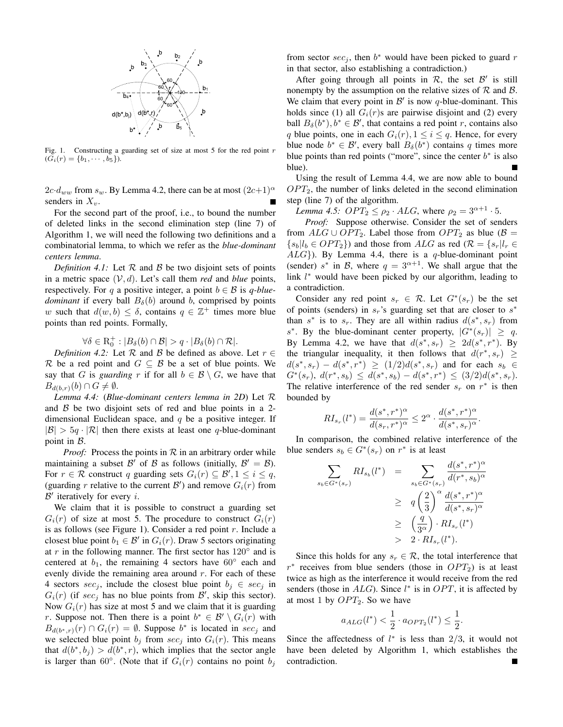

Fig. 1. Constructing a guarding set of size at most 5 for the red point  $r$  $(G_i(r) = \{b_1, \cdots, b_5\}).$ 

 $2c \cdot d_{ww}$  from  $s_w$ . By Lemma 4.2, there can be at most  $(2c+1)^{\alpha}$ senders in  $X_v$ .

For the second part of the proof, i.e., to bound the number of deleted links in the second elimination step (line 7) of Algorithm 1, we will need the following two definitions and a combinatorial lemma, to which we refer as the *blue-dominant centers lemma*.

*Definition 4.1:* Let  $R$  and  $B$  be two disjoint sets of points in a metric space  $(V, d)$ . Let's call them *red* and *blue* points, respectively. For q a positive integer, a point  $b \in \mathcal{B}$  is q-blue*dominant* if every ball  $B_\delta(b)$  around b, comprised by points w such that  $d(w, b) \leq \delta$ , contains  $q \in \mathbb{Z}^+$  times more blue points than red points. Formally,

 $\forall \delta \in \mathrm{R}^+_0 : |B_\delta(b) \cap \mathcal{B}| > q \cdot |B_\delta(b) \cap \mathcal{R}|.$ 

*Definition 4.2:* Let  $R$  and  $B$  be defined as above. Let  $r \in$ R be a red point and  $G \subseteq B$  be a set of blue points. We say that G is *guarding* r if for all  $b \in \mathcal{B} \setminus G$ , we have that  $B_{d(b,r)}(b) \cap G \neq \emptyset.$ 

*Lemma 4.4:* (*Blue-dominant centers lemma in 2D*) Let R and  $\beta$  be two disjoint sets of red and blue points in a 2dimensional Euclidean space, and  $q$  be a positive integer. If  $|\mathcal{B}| > 5q \cdot |\mathcal{R}|$  then there exists at least one q-blue-dominant point in  $\beta$ .

*Proof:* Process the points in  $R$  in an arbitrary order while maintaining a subset  $\mathcal{B}'$  of  $\mathcal B$  as follows (initially,  $\mathcal{B}' = \mathcal{B}$ ). For  $r \in \mathcal{R}$  construct q guarding sets  $G_i(r) \subseteq \mathcal{B}'$ ,  $1 \leq i \leq q$ , (guarding r relative to the current  $\mathcal{B}'$ ) and remove  $G_i(r)$  from  $\mathcal{B}'$  iteratively for every i.

We claim that it is possible to construct a guarding set  $G_i(r)$  of size at most 5. The procedure to construct  $G_i(r)$ is as follows (see Figure 1). Consider a red point  $r$ . Include a closest blue point  $b_1 \in \mathcal{B}'$  in  $G_i(r)$ . Draw 5 sectors originating at r in the following manner. The first sector has  $120^\circ$  and is centered at  $b_1$ , the remaining 4 sectors have  $60^\circ$  each and evenly divide the remaining area around  $r$ . For each of these 4 sectors  $sec_j$ , include the closest blue point  $b_j \in sec_j$  in  $G_i(r)$  (if  $sec_j$  has no blue points from  $\mathcal{B}'$ , skip this sector). Now  $G_i(r)$  has size at most 5 and we claim that it is guarding r. Suppose not. Then there is a point  $b^* \in \mathcal{B}' \setminus G_i(r)$  with  $B_{d(b^*,r)}(r) \cap G_i(r) = \emptyset$ . Suppose  $b^*$  is located in sec<sub>i</sub> and we selected blue point  $b_i$  from  $sec_i$  into  $G_i(r)$ . This means that  $d(b^*, b_i) > d(b^*, r)$ , which implies that the sector angle is larger than 60°. (Note that if  $G_i(r)$  contains no point  $b_i$ 

from sector  $sec<sub>i</sub>$ , then  $b<sup>*</sup>$  would have been picked to guard r in that sector, also establishing a contradiction.)

After going through all points in  $\mathcal{R}$ , the set  $\mathcal{B}'$  is still nonempty by the assumption on the relative sizes of  $R$  and  $B$ . We claim that every point in  $\mathcal{B}'$  is now q-blue-dominant. This holds since (1) all  $G_i(r)$ s are pairwise disjoint and (2) every ball  $B_\delta(b^*), b^* \in \mathcal{B}'$ , that contains a red point r, contains also q blue points, one in each  $G_i(r)$ ,  $1 \leq i \leq q$ . Hence, for every blue node  $b^* \in \mathcal{B}'$ , every ball  $B_\delta(b^*)$  contains q times more blue points than red points ("more", since the center  $b^*$  is also blue).

Using the result of Lemma 4.4, we are now able to bound  $OPT_2$ , the number of links deleted in the second elimination step (line 7) of the algorithm.

*Lemma 4.5:*  $OPT_2 \leq \rho_2 \cdot ALG$ , where  $\rho_2 = 3^{\alpha+1} \cdot 5$ .

*Proof:* Suppose otherwise. Consider the set of senders from  $ALG \cup OPT_2$ . Label those from  $OPT_2$  as blue ( $\beta =$  ${s_b|l_b \in OPT_2}$ ) and those from ALG as red ( $\mathcal{R} = {s_r|l_r \in \mathcal{R}}$  $ALG$ ). By Lemma 4.4, there is a q-blue-dominant point (sender)  $s^*$  in B, where  $q = 3^{\alpha+1}$ . We shall argue that the link  $l^*$  would have been picked by our algorithm, leading to a contradiction.

Consider any red point  $s_r \in \mathcal{R}$ . Let  $G^*(s_r)$  be the set of points (senders) in  $s_r$ 's guarding set that are closer to  $s^*$ than  $s^*$  is to  $s_r$ . They are all within radius  $d(s^*, s_r)$  from s<sup>∗</sup>. By the blue-dominant center property,  $|G^*(s_r)| \geq q$ . By Lemma 4.2, we have that  $d(s^*, s_r) \geq 2d(s^*, r^*)$ . By the triangular inequality, it then follows that  $d(r^*, s_r) \geq$  $d(s^*, s_r) - d(s^*, r^*) \ge (1/2)d(s^*, s_r)$  and for each  $s_b \in$  $G^*(s_r), d(r^*, s_b) \leq d(s^*, s_b) - d(s^*, r^*) \leq (3/2)d(s^*, s_r).$ The relative interference of the red sender  $s_r$  on  $r^*$  is then bounded by

$$
RI_{s_r}(l^*) = \frac{d(s^*, r^*)^{\alpha}}{d(s_r, r^*)^{\alpha}} \leq 2^{\alpha} \cdot \frac{d(s^*, r^*)^{\alpha}}{d(s^*, s_r)^{\alpha}}.
$$

In comparison, the combined relative interference of the blue senders  $s_b \in G^*(s_r)$  on  $r^*$  is at least

$$
\sum_{s_b \in G^*(s_r)} RI_{s_b}(l^*) = \sum_{s_b \in G^*(s_r)} \frac{d(s^*, r^*)^{\alpha}}{d(r^*, s_b)^{\alpha}}
$$
\n
$$
\geq q \left(\frac{2}{3}\right)^{\alpha} \frac{d(s^*, r^*)^{\alpha}}{d(s^*, s_r)^{\alpha}}
$$
\n
$$
\geq \left(\frac{q}{3^{\alpha}}\right) \cdot RI_{s_r}(l^*)
$$
\n
$$
> 2 \cdot RI_{s_r}(l^*).
$$

Since this holds for any  $s_r \in \mathcal{R}$ , the total interference that  $r^*$  receives from blue senders (those in  $OPT_2$ ) is at least twice as high as the interference it would receive from the red senders (those in  $ALG$ ). Since  $l^*$  is in  $OPT$ , it is affected by at most 1 by  $OPT_2$ . So we have

$$
a_{ALG}(l^*) < \frac{1}{2} \cdot a_{OPT_2}(l^*) \le \frac{1}{2}.
$$

Since the affectedness of  $l^*$  is less than 2/3, it would not have been deleted by Algorithm 1, which establishes the contradiction.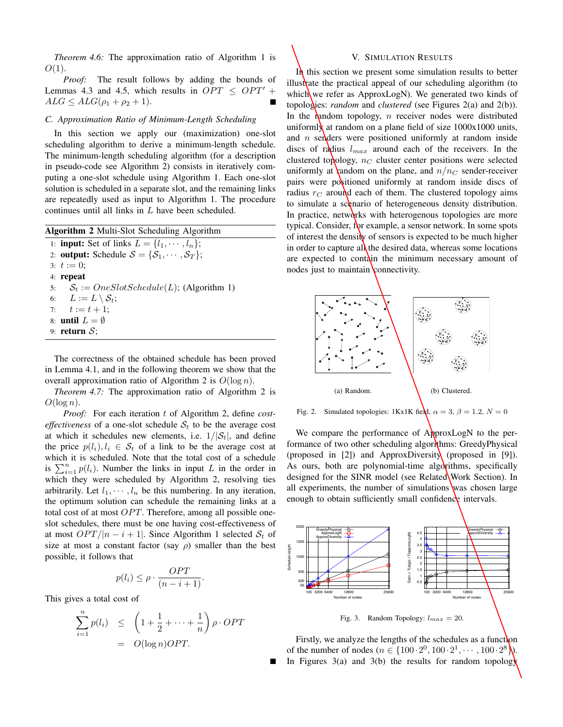*Theorem 4.6:* The approximation ratio of Algorithm 1 is  $O(1)$ .

*Proof:* The result follows by adding the bounds of Lemmas 4.3 and 4.5, which results in  $OPT \leq OPT' +$  $ALG \leq ALG(\rho_1 + \rho_2 + 1).$ 

## *C. Approximation Ratio of Minimum-Length Scheduling*

In this section we apply our (maximization) one-slot scheduling algorithm to derive a minimum-length schedule. The minimum-length scheduling algorithm (for a description in pseudo-code see Algorithm 2) consists in iteratively computing a one-slot schedule using Algorithm 1. Each one-slot solution is scheduled in a separate slot, and the remaining links are repeatedly used as input to Algorithm 1. The procedure continues until all links in L have been scheduled.

Algorithm 2 Multi-Slot Scheduling Algorithm 1: **input:** Set of links  $L = \{l_1, \dots, l_n\};$ 2: **output:** Schedule  $S = \{S_1, \dots, S_T\};$ 3:  $t := 0$ ; 4: repeat 5:  $S_t := OneSlotSchedule(L);$  (Algorithm 1) 6:  $L := L \setminus \mathcal{S}_t;$ <br>7:  $t := t + 1;$  $t := t + 1;$ 8: until  $L = \emptyset$ 9: return  $S$ ;

The correctness of the obtained schedule has been proved in Lemma 4.1, and in the following theorem we show that the overall approximation ratio of Algorithm 2 is  $O(\log n)$ .

*Theorem 4.7:* The approximation ratio of Algorithm 2 is  $O(\log n)$ .

*Proof:* For each iteration t of Algorithm 2, define *costeffectiveness* of a one-slot schedule  $S_t$  to be the average cost at which it schedules new elements, i.e.  $1/|\mathcal{S}_t|$ , and define the price  $p(l_i), l_i \in S_t$  of a link to be the average cost at which it is scheduled. Note that the total cost of a schedule is  $\sum_{i=1}^{n} p(l_i)$ . Number the links in input L in the order in which they were scheduled by Algorithm 2, resolving ties arbitrarily. Let  $l_1, \dots, l_n$  be this numbering. In any iteration, the optimum solution can schedule the remaining links at a total cost of at most OPT. Therefore, among all possible oneslot schedules, there must be one having cost-effectiveness of at most  $OPT/|n - i + 1|$ . Since Algorithm 1 selected  $S_t$  of size at most a constant factor (say  $\rho$ ) smaller than the best possible, it follows that

$$
p(l_i) \le \rho \cdot \frac{OPT}{(n-i+1)}.
$$

This gives a total cost of

$$
\sum_{i=1}^{n} p(l_i) \leq \left(1 + \frac{1}{2} + \dots + \frac{1}{n}\right) \rho \cdot OPT
$$
  
=  $O(\log n)OPT.$ 

#### V. SIMULATION RESULTS

 $I_n$  this section we present some simulation results to better illustrate the practical appeal of our scheduling algorithm (to which we refer as ApproxLogN). We generated two kinds of topologies: *random* and *clustered* (see Figures 2(a) and 2(b)). In the random topology, n receiver nodes were distributed uniformly at random on a plane field of size  $1000x1000$  units, and  $n$  senders were positioned uniformly at random inside discs of radius  $l_{max}$  around each of the receivers. In the clustered topology,  $n_C$  cluster center positions were selected uniformly at random on the plane, and  $n/n_C$  sender-receiver pairs were positioned uniformly at random inside discs of radius  $r<sub>C</sub>$  around each of them. The clustered topology aims to simulate a scenario of heterogeneous density distribution. In practice, networks with heterogenous topologies are more typical. Consider, for example, a sensor network. In some spots of interest the density of sensors is expected to be much higher in order to capture all the desired data, whereas some locations are expected to contain the minimum necessary amount of nodes just to maintain connectivity.



Fig. 2. Simulated topologies: 1Kx1K field,  $\alpha = 3$ ,  $\beta = 1.2$ ,  $N = 0$ 

We compare the performance of ApproxLogN to the performance of two other scheduling algorithms: GreedyPhysical (proposed in [2]) and ApproxDiversity (proposed in [9]). As ours, both are polynomial-time algorithms, specifically designed for the SINR model (see Related Work Section). In all experiments, the number of simulations was chosen large enough to obtain sufficiently small confidence intervals.



Firstly, we analyze the lengths of the schedules as a function of the number of nodes ( $n \in \{100 \cdot 2^0, 100 \cdot 2^1, \dots, 100 \cdot 2^8\}$ ). In Figures 3(a) and 3(b) the results for random topology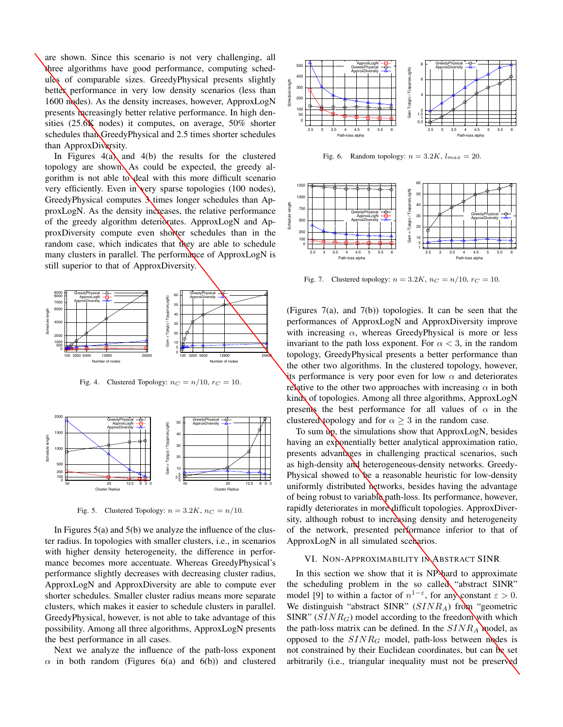are shown. Since this scenario is not very challenging, all three algorithms have good performance, computing schedules of comparable sizes. GreedyPhysical presents slightly bettex performance in very low density scenarios (less than 1600 nodes). As the density increases, however, ApproxLogN presents **increasingly better relative performance**. In high densities (25.6K nodes) it computes, on average, 50% shorter schedules than GreedyPhysical and 2.5 times shorter schedules than ApproxDiversity.

In Figures  $4(a)$  and  $4(b)$  the results for the clustered topology are shown. As could be expected, the greedy algorithm is not able to deal with this more difficult scenario very efficiently. Even in very sparse topologies  $(100 \text{ nodes}),$ GreedyPhysical computes  $\lambda$  times longer schedules than ApproxLogN. As the density increases, the relative performance of the greedy algorithm deteriorates. ApproxLogN and ApproxDiversity compute even shower schedules than in the random case, which indicates that they are able to schedule many clusters in parallel. The performance of ApproxLogN is still superior to that of ApproxDiversity.



Fig. 4. Clustered Topology:  $n_C = n/10$ ,  $r_C = 10$ .



Fig. 5. Clustered Topology:  $n = 3.2K$ ,  $n = n/10$ .

In Figures  $5(a)$  and  $5(b)$  we analyze the influence of the cluster radius. In topologies with smaller clusters, i.e., in scenarios with higher density heterogeneity, the difference in performance becomes more accentuate. Whereas GreedyPhysical's performance slightly decreases with decreasing cluster radius, ApproxLogN and ApproxDiversity are able to compute ever shorter schedules. Smaller cluster radius means more separate clusters, which makes it easier to schedule clusters in parallel. GreedyPhysical, however, is not able to take advantage of this possibility. Among all three algorithms, ApproxLogN presents the best performance in all cases.

Next we analyze the influence of the path-loss exponent  $\alpha$  in both random (Figures 6(a) and 6(b)) and clustered



Fig. 6. Random topology:  $n = 3.2K$ ,  $l_{max} = 20$ .



Fig. 7. Clustered topology:  $n = 3.2K$ ,  $n_C = n/10$ ,  $r_C = 10$ .

(Figures 7(a), and 7(b)) topologies. It can be seen that the performances of ApproxLogN and ApproxDiversity improve with increasing  $\alpha$ , whereas GreedyPhysical is more or less invariant to the path loss exponent. For  $\alpha < 3$ , in the random topology, GreedyPhysical presents a better performance than the other two algorithms. In the clustered topology, however, its performance is very poor even for low  $\alpha$  and deteriorates relative to the other two approaches with increasing  $\alpha$  in both kinds of topologies. Among all three algorithms, ApproxLogN presents the best performance for all values of  $\alpha$  in the clustered topology and for  $\alpha \geq 3$  in the random case.

To sum  $\mathbf{u}_p$ , the simulations show that ApproxLogN, besides having an exponentially better analytical approximation ratio, presents advantages in challenging practical scenarios, such as high-density and heterogeneous-density networks. Greedy-Physical showed to be a reasonable heuristic for low-density uniformly distributed networks, besides having the advantage of being robust to variable path-loss. Its performance, however, rapidly deteriorates in more difficult topologies. ApproxDiversity, although robust to increasing density and heterogeneity of the network, presented performance inferior to that of ApproxLogN in all simulated scenarios.

## VI. NON-APPROXIMABILITY IN ABSTRACT SINR

In this section we show that it is  $NP\$  hard to approximate the scheduling problem in the so called "abstract SINR" model [9] to within a factor of  $n^{1-\epsilon}$ , for any constant  $\varepsilon > 0$ . We distinguish "abstract SINR"  $(SINR<sub>A</sub>)$  from "geometric SINR" ( $SINR_G$ ) model according to the freedom with which the path-loss matrix can be defined. In the  $SINR<sub>A</sub>$  model, as opposed to the  $SINR_G$  model, path-loss between nodes is not constrained by their Euclidean coordinates, but can be set arbitrarily (i.e., triangular inequality must not be preserved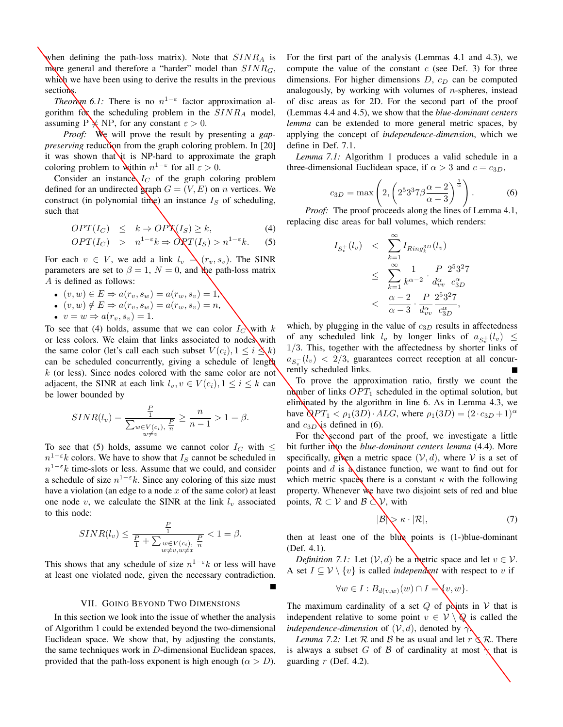when defining the path-loss matrix). Note that  $SINR<sub>A</sub>$  is more general and therefore a "harder" model than  $SINR<sub>G</sub>$ , which we have been using to derive the results in the previous sections.

*Theorem 6.1:* There is no  $n^{1-\epsilon}$  factor approximation algorithm for the scheduling problem in the  $SINR<sub>A</sub>$  model, assuming  $P \times NP$ , for any constant  $\varepsilon > 0$ .

*Proof:* We will prove the result by presenting a *gappreserving* reduction from the graph coloring problem. In [20] it was shown that it is NP-hard to approximate the graph coloring problem to within  $n^{1-\epsilon}$  for all  $\epsilon > 0$ .

Consider an instance  $I_C$  of the graph coloring problem defined for an undirected graph  $G = (V, E)$  on *n* vertices. We construct (in polynomial time) an instance  $I<sub>S</sub>$  of scheduling, such that

$$
OPT(I_C) \leq k \Rightarrow OPX(I_S) \geq k,\tag{4}
$$

$$
OPT(I_C) > n^{1-\epsilon}k \Rightarrow \mathcal{O}PT(I_S) > n^{1-\epsilon}k. \tag{5}
$$

For each  $v \in V$ , we add a link  $l_v \triangleq (r_v, s_v)$ . The SINR parameters are set to  $\beta = 1$ ,  $N = 0$ , and the path-loss matrix A is defined as follows:

• 
$$
(v, w) \in E \Rightarrow a(r_v, s_w) = a(r_w, s_v) = 1,
$$

- $(v, w) \notin E \Rightarrow a(r_v, s_w) = a(r_w, s_v) = n,$
- $v = w \Rightarrow a(r_v, s_v) = 1.$

To see that (4) holds, assume that we can color  $I_C$  with k or less colors. We claim that links associated to nodes with the same color (let's call each such subset  $V(c_i)$ ,  $1 \leq i \leq k$ ) can be scheduled concurrently, giving a schedule of length  $k$  (or less). Since nodes colored with the same color are not adjacent, the SINR at each link  $l_v, v \in V(c_i), 1 \le i \le k$  can be lower bounded by

$$
SINR(l_v) = \frac{\frac{P}{1}}{\sum_{\substack{w \in V(c_i), p \\ w \neq v}} \frac{P}{n}} \ge \frac{n}{n-1} > 1 = \beta.
$$

To see that (5) holds, assume we cannot color  $I_C$  with  $\leq$  $n^{1-\epsilon}k$  colors. We have to show that  $I_S$  cannot be scheduled in  $n^{1-\epsilon}k$  time-slots or less. Assume that we could, and consider a schedule of size  $n^{1-\epsilon}k$ . Since any coloring of this size must have a violation (an edge to a node  $x$  of the same color) at least one node v, we calculate the SINR at the link  $l_v$  associated to this node:

$$
SINR(l_v) \le \frac{\frac{P}{1}}{\frac{P}{1} + \sum_{\substack{w \in V(c_i), \\ w \ne v, w \ne x}} \frac{P}{n}} < 1 = \beta.
$$

This shows that any schedule of size  $n^{1-\epsilon}k$  or less will have at least one violated node, given the necessary contradiction.

#### VII. GOING BEYOND TWO DIMENSIONS

In this section we look into the issue of whether the analysis of Algorithm 1 could be extended beyond the two-dimensional Euclidean space. We show that, by adjusting the constants, the same techniques work in D-dimensional Euclidean spaces, provided that the path-loss exponent is high enough ( $\alpha > D$ ). For the first part of the analysis (Lemmas 4.1 and 4.3), we compute the value of the constant  $c$  (see Def. 3) for three dimensions. For higher dimensions  $D$ ,  $c_D$  can be computed analogously, by working with volumes of  $n$ -spheres, instead of disc areas as for 2D. For the second part of the proof (Lemmas 4.4 and 4.5), we show that the *blue-dominant centers lemma* can be extended to more general metric spaces, by applying the concept of *independence-dimension*, which we define in Def. 7.1.

*Lemma 7.1:* Algorithm 1 produces a valid schedule in a three-dimensional Euclidean space, if  $\alpha > 3$  and  $c = c_{3D}$ ,

$$
c_{3D} = \max\left(2, \left(2^5 3^3 7 \beta \frac{\alpha - 2}{\alpha - 3}\right)^{\frac{1}{\alpha}}\right). \tag{6}
$$

*Proof:* The proof proceeds along the lines of Lemma 4.1, replacing disc areas for ball volumes, which renders:

$$
I_{S_v^+}(l_v) < \sum_{k=1}^{\infty} I_{Ring_k^{3D}}(l_v) \\
\leq \sum_{k=1}^{\infty} \frac{1}{k^{\alpha-2}} \cdot \frac{P}{d_{vv}^{\alpha}} \frac{2^5 3^2 7}{c_{3D}^{\alpha}} \\
&< \frac{\alpha-2}{\alpha-3} \cdot \frac{P}{d_{vv}^{\alpha}} \frac{2^5 3^2 7}{c_{3D}^{\alpha}},
$$

which, by plugging in the value of  $c_{3D}$  results in affectedness of any scheduled link  $l_v$  by longer links of  $a_{S_v^+}(l_v) \leq$ 1/3. This, together with the affectedness by shorter links of  $a_{S_v^{-}}(l_v) < 2/3$ , guarantees correct reception at all concurrently scheduled links.

To prove the approximation ratio, firstly we count the number of links  $OPT_1$  scheduled in the optimal solution, but eliminated by the algorithm in line 6. As in Lemma 4.3, we have  $\mathsf{Q}PT_1 < \rho_1(3D) \cdot ALG$ , where  $\rho_1(3D) = (2 \cdot c_{3D} + 1)^\alpha$ and  $c_{3D}$  is defined in (6).

For the second part of the proof, we investigate a little bit further into the *blue-dominant centers lemma* (4.4). More specifically, given a metric space  $(\mathcal{V}, d)$ , where V is a set of points and  $d$  is  $\lambda$  distance function, we want to find out for which metric spaces there is a constant  $\kappa$  with the following property. Whenever we have two disjoint sets of red and blue points,  $\mathcal{R} \subset \mathcal{V}$  and  $\mathcal{B} \subset \mathcal{V}$ , with

$$
|\mathcal{B}| \geq \kappa \cdot |\mathcal{R}|,\tag{7}
$$

then at least one of the blue points is  $(1-)$ blue-dominant (Def. 4.1).

*Definition 7.1:* Let  $(V, d)$  be a metric space and let  $v \in V$ . A set  $I \subseteq V \setminus \{v\}$  is called *independent* with respect to v if

$$
\forall w \in I : B_{d(v,w)}(w) \cap I = \bigvee v, w \}.
$$

The maximum cardinality of a set  $Q$  of points in  $V$  that is independent relative to some point  $v \in V \setminus Q$  is called the *independence-dimension* of  $(V, d)$ , denoted by  $\gamma$ .

*Lemma 7.2:* Let R and B be as usual and let  $r \in \mathbb{R}$ . There is always a subset G of B of cardinality at most  $\lambda$  that is guarding  $r$  (Def. 4.2).